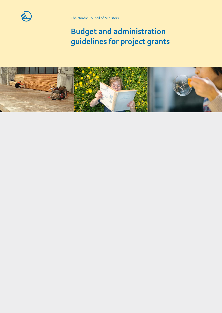

The Nordic Council of Ministers

# **Budget and administration guidelines for project grants**

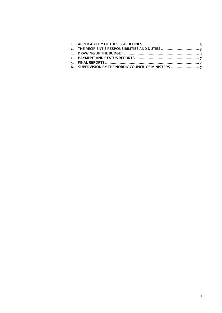| 2. THE RECIPIENT'S RESPONSIBILITIES AND DUTIES    |  |
|---------------------------------------------------|--|
|                                                   |  |
|                                                   |  |
|                                                   |  |
| 6. SUPERVISION BY THE NORDIC COUNCIL OF MINISTERS |  |
|                                                   |  |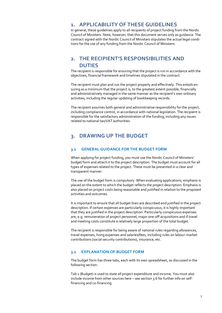## <span id="page-2-0"></span>**1. APPLICABILITY OF THESE GUIDELINES**

In general, these guidelines apply to all recipients of project funding from the Nordic Council of Ministers. Note, however, that this document serves only as guidance. The contract signed with the Nordic Council of Ministers stipulates the actual legal conditions for the use of any funding from the Nordic Council of Ministers.

# <span id="page-2-1"></span>**2. THE RECIPIENT'S RESPONSIBILITIES AND DUTIES**

The recipient is responsible for ensuring that the project is run in accordance with the objectives, financial framework and timelines stipulated in the contract.

The recipient must plan and run the project properly and effectively. This entails ensuring as a minimum that the project is, to the greatest extent possible, financially and administratively managed in the same manner as the recipient's own ordinary activities, including the regular updating of bookkeeping records.

The recipient assumes both general and administrative responsibility for the project, including compliance control, in accordance with national legislation. The recipient is responsible for the satisfactory administration of the funding, including any issues related to national tax/VAT authorities.

# <span id="page-2-2"></span>**3. DRAWING UP THE BUDGET**

## **3.1 GENERAL GUIDANCE FOR THE BUDGET FORM**

When applying for project funding, you must use the Nordic Council of Ministers' budget form and attach it to the project description. The budget must account for all types of expenses related to the project. These must be presented in a clear and transparent manner.

The use of the budget form is compulsory. When evaluating applications, emphasis is placed on the extent to which the budget reflects the project description. Emphasis is also placed on project costs being reasonable and justified in relation to the proposed activities and outcomes.

It is important to ensure that all budget lines are described and justified in the project description. If certain expenses are particularly conspicuous, it is highly important that they are justified in the project description. Particularly conspicuous expenses are, e.g. remuneration of project personnel, major one-off acquisitions and if travel and meeting costs constitute a relatively large proportion of the total budget.

The recipient is responsible for being aware of national rules regarding allowances, travel expenses, living expenses and salaries/fees, including rules on labour-market contributions (social security contributions), insurance, etc.

## **3.2 EXPLANATION OF BUDGET FORM**

The budget form has three tabs, each with its own spreadsheet, as discussed in the following section.

Tab 1 (Budget) is used to state all project expenditure and income. You must also include income from other sources here - see section 3.6 for further info on selffinancing and co-financing.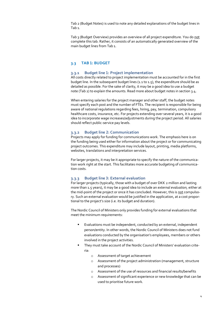Tab 2 (Budget Notes) is used to note any detailed explanations of the budget lines in Tab 1.

Tab 3 (Budget Overview) provides an overview of all project expenditure. You do not complete this tab. Rather, it consists of an automatically generated overview of the main budget lines from Tab 1.

## **3.3 TAB 1: BUDGET**

#### **3.3.1 Budget line 1: Project implementation**

All costs directly related to project implementation must be accounted for in the first budget line. In the subsequent budget lines (1.1 to 1.5), the expenditure should be as detailed as possible. For the sake of clarity, it may be a good idea to use a budget note (Tab 2) to explain the amounts. Read more about budget notes in section 3.4.

When entering salaries for the project manager and other staff, the budget notes must specify each post and the number of FTEs. The recipient is responsible for being aware of national regulations regarding fees, hiring, pay, termination, compulsory healthcare costs, insurance, etc. For projects extending over several years, it is a good idea to incorporate wage increases/adjustments during the project period. All salaries should reflect public-service pay levels.

#### **3.3.2 Budget line 2: Communication**

Projects may apply for funding for communications work. The emphasis here is on the funding being used either for information about the project or for communicating project outcomes. This expenditure may include layout, printing, media platforms, websites, translations and interpretation services.

For larger projects, it may be it appropriate to specify the nature of the communication work right at the start. This facilitates more accurate budgeting of communication costs.

#### **3.3.3 Budget line 3: External evaluation**

For larger projects (typically, those with a budget of over DKK 2 million and lasting more than 1.5 years), it may be a good idea to include an *external evaluation,* either at the mid-point of the project or once it has concluded. However, this is not compulsory. Such an external evaluation would be justified in the application, at a cost proportional to the project's size (i.e. its budget and duration).

The Nordic Council of Ministers only provides funding for external evaluations that meet the minimum requirements:

- Evaluations must be independent, conducted by an external, independent person/entity. In other words, the Nordic Council of Ministers does not fund evaluations conducted by the organisation's employees, members or others involved in the project activities.
- They must take account of the Nordic Council of Ministers' evaluation criteria:
	- o Assessment of target achievement
	- o Assessment of the project administration (management, structure and processes)
	- o Assessment of the use of resources and financial results/benefits
	- o Assessment of significant experience or new knowledge that can be used to prioritise future work.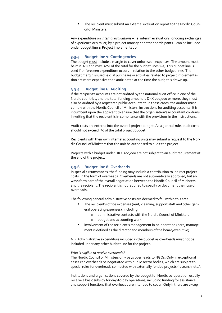The recipient must submit an external evaluation report to the Nordic Council of Ministers.

Any expenditure on *internal evaluations –* i.e. interim evaluations, ongoing exchanges of experience or similar, by a project manager or other participants – can be included under budget line 1: Project implementation

#### **3.3.4 Budget line 4: Contingencies**

The budget must include a margin to cover unforeseen expenses. The amount must be min. 6% and max. 10% of the total for the budget lines 1–3. This budget line is used if unforeseen expenditure occurs in relation to the other budget lines. The budget margin is used, e.g. if purchases or activities related to project implementation are more expensive than anticipated at the time the budget is drawn up.

#### **3.3.5 Budget line 6: Auditing**

If the recipient's accounts are not audited by the national audit office in one of the Nordic countries, and the total funding amount is DKK 200,000 or more, they must also be audited by a registered public accountant. In these cases, the auditor must comply with the Nordic Council of Ministers' instructions for auditing accounts. It is incumbent upon the applicant to ensure that the organisation's accountant confirms in writing that the recipient is in compliance with the provisions in the instructions.

Audit costs are entered into the overall project budget. As a general rule, audit costs should not exceed 5% of the total project budget.

Recipients with their own internal accounting units may submit a request to the Nordic Council of Ministers that the unit be authorised to audit the project.

Projects with a budget under DKK 200,000 are not subject to an audit requirement at the end of the project.

#### **3.3.6 Budget line 8: Overheads**

In special circumstances, the funding may include a contribution to indirect project costs, in the form of overheads. Overheads are not automatically approved, but always form part of the overall negotiation between the Nordic Council of Ministers and the recipient. The recipient is not required to specify or document their use of overheads.

The following general administrative costs are deemed to fall within this area:

- The recipient's office expenses (rent, cleaning, support staff and other general operating expenses), including:
	- o administrative contacts with the Nordic Council of Ministers
	- o budget and accounting work.
- Involvement of the recipient's management in co-operation (here, management is defined as the director and members of the board/executive).

NB. Administrative expenditure included in the budget as overheads must not be included under any other budget line for the project.

#### *Who is eligible to receive overheads?*

The Nordic Council of Ministers only pays overheads to NGOs. Only in exceptional cases can overheads be negotiated with public sector bodies, which are subject to special rules for overheads connected with externally funded projects (research, etc.).

Institutions and organisations covered by the budget for Nordic co-operation usually receive a basic subsidy for day-to-day operations, including funding for assistance and support functions that overheads are intended to cover. Only if there are excep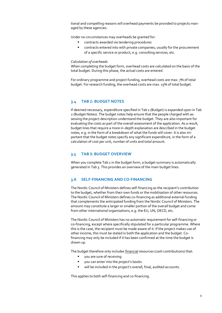tional and compelling reasons will overhead payments be provided to projects managed by these agencies.

Under no circumstances may overheads be granted for:

- contracts awarded via tendering procedures
- contracts entered into with private companies, usually for the procurement of a specific service or product, e.g. consulting services, etc.

#### *Calculation of overheads*

When completing the budget form, overhead costs are calculated on the basis of the total budget. During this phase, the actual costs are entered.

For ordinary programme and project funding, overhead costs are max. 7% of total budget. For research funding, the overhead costs are max. 15% of total budget.

## **3.4 TAB 2: BUDGET NOTES**

If deemed necessary, expenditure specified in Tab 1 (Budget) is expanded upon in Tab 2 (Budget Notes). The budget notes help ensure that the people charged with assessing the project description understand the budget. They are also important for evaluating the costs as part of the overall assessment of the application. As a result, budget lines that require a more in-depth explanation are described in the budget notes, e.g. in the form of a breakdown of what the funds will cover. It is also important that the budget notes specify any significant expenditure, in the form of a calculation of cost per unit, number of units and total amount.

## **3.5 TAB 3: BUDGET OVERVIEW**

When you complete Tab 1 in the budget form, a budget summary is automatically generated in Tab 3. This provides an overview of the main budget lines.

## **3.6 SELF-FINANCING AND CO-FINANCING**

The Nordic Council of Ministers defines self-financing as the recipient's contribution to the budget, whether from their own funds or the mobilisation of other resources. The Nordic Council of Ministers defines co-financing as additional external funding that complements the anticipated funding from the Nordic Council of Ministers. The amount may constitute a larger or smaller portion of the overall budget and come from other international organisations, e.g. the EU, UN, OECD, etc.

The Nordic Council of Ministers has no automatic requirement for self-financing or co-financing, except where specifically stipulated for a particular programme. Where this is the case, the recipient must be made aware of it. If the project makes use of other income, this must be stated in both the application and the budget. Cofinancing may only be included if it has been confirmed at the time the budget is drawn up.

The budget therefore only includes financial resources (cash contributions) that:

- you are sure of receiving
- you can enter into the project's books
- will be included in the project's overall, final, audited accounts.

This applies to both self-financing and co-financing.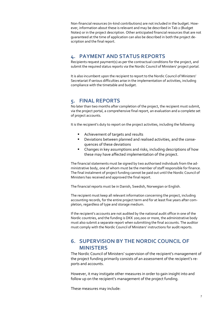Non-financial resources (in-kind contributions) are not included in the budget. However, information about these is relevant and may be described in Tab 2 (Budget Notes) or in the project description. Other anticipated financial resources that are not guaranteed at the time of application can also be described in both the project description and the final report.

# <span id="page-6-0"></span>**4. PAYMENT AND STATUS REPORTS**

Recipients request payment(s) as per the contractual conditions for the project, and submit the required status reports via the Nordic Council of Ministers' project portal.

It is also incumbent upon the recipient to report to the Nordic Council of Ministers' Secretariat if serious difficulties arise in the implementation of activities, including compliance with the timetable and budget.

# <span id="page-6-1"></span>**5. FINAL REPORTS**

No later than two months after completion of the project, the recipient must submit, via the project portal, a comprehensive final report, an evaluation and a complete set of project accounts.

It is the recipient's duty to report on the project activities, including the following:

- Achievement of targets and results
- Deviations between planned and realised activities, and the consequences of these deviations
- Changes in key assumptions and risks, including descriptions of how these may have affected implementation of the project.

The financial statements must be signed by two authorised individuals from the administrative body, one of whom must be the member of staff responsible for finance. The final instalment of project funding cannot be paid out until the Nordic Council of Ministers has received and approved the final report.

The financial reports must be in Danish, Swedish, Norwegian or English.

The recipient must keep all relevant information concerning the project, including accounting records, for the entire project term and for at least five years after completion, regardless of type and storage medium.

If the recipient's accounts are not audited by the national audit office in one of the Nordic countries, and the funding is DKK 200,000 or more, the administrative body must also submit a separate report when submitting the final accounts. The auditor must comply with the Nordic Council of Ministers' instructions for audit reports.

# <span id="page-6-2"></span>**6. SUPERVISION BY THE NORDIC COUNCIL OF MINISTERS**

The Nordic Council of Ministers' supervision of the recipient's management of the project funding primarily consists of an assessment of the recipient's reports and accounts.

However, it may instigate other measures in order to gain insight into and follow up on the recipient's management of the project funding.

These measures may include: